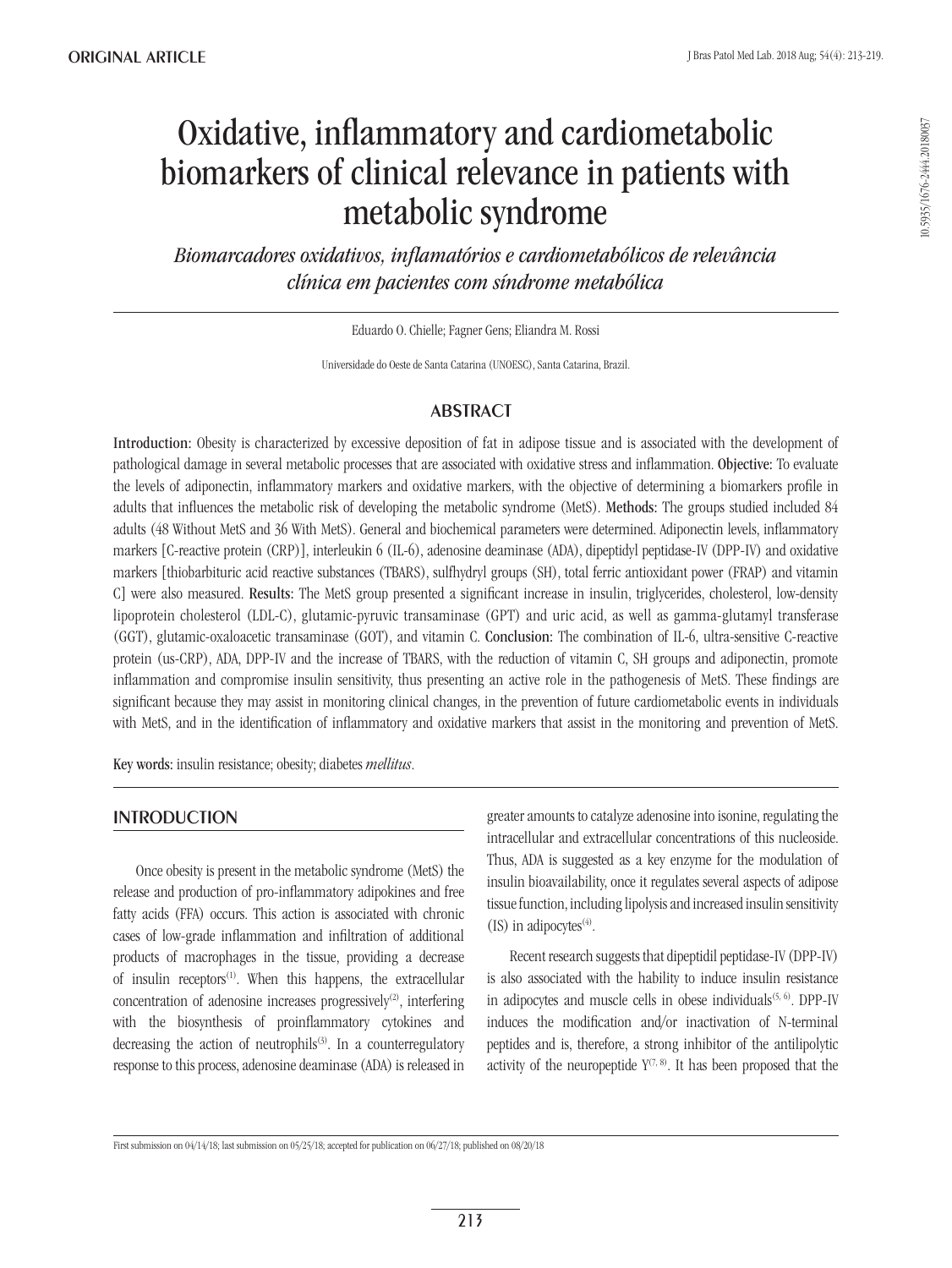# Oxidative, inflammatory and cardiometabolic biomarkers of clinical relevance in patients with metabolic syndrome

*Biomarcadores oxidativos, inflamatórios e cardiometabólicos de relevância clínica em pacientes com síndrome metabólica*

Eduardo O. Chielle; Fagner Gens; Eliandra M. Rossi

Universidade do Oeste de Santa Catarina (UNOESC), Santa Catarina, Brazil.

# **ABSTRACT**

Introduction: Obesity is characterized by excessive deposition of fat in adipose tissue and is associated with the development of pathological damage in several metabolic processes that are associated with oxidative stress and inflammation. Objective: To evaluate the levels of adiponectin, inflammatory markers and oxidative markers, with the objective of determining a biomarkers profile in adults that influences the metabolic risk of developing the metabolic syndrome (MetS). Methods: The groups studied included 84 adults (48 Without MetS and 36 With MetS). General and biochemical parameters were determined. Adiponectin levels, inflammatory markers [C-reactive protein (CRP)], interleukin 6 (IL-6), adenosine deaminase (ADA), dipeptidyl peptidase-IV (DPP-IV) and oxidative markers [thiobarbituric acid reactive substances (TBARS), sulfhydryl groups (SH), total ferric antioxidant power (FRAP) and vitamin C] were also measured. Results: The MetS group presented a significant increase in insulin, triglycerides, cholesterol, low-density lipoprotein cholesterol (LDL-C), glutamic-pyruvic transaminase (GPT) and uric acid, as well as gamma-glutamyl transferase (GGT), glutamic-oxaloacetic transaminase (GOT), and vitamin C. Conclusion: The combination of IL-6, ultra-sensitive C-reactive protein (us-CRP), ADA, DPP-IV and the increase of TBARS, with the reduction of vitamin C, SH groups and adiponectin, promote inflammation and compromise insulin sensitivity, thus presenting an active role in the pathogenesis of MetS. These findings are significant because they may assist in monitoring clinical changes, in the prevention of future cardiometabolic events in individuals with MetS, and in the identification of inflammatory and oxidative markers that assist in the monitoring and prevention of MetS.

Key words: insulin resistance; obesity; diabetes *mellitus*.

# **INTRODUCTION**

Once obesity is present in the metabolic syndrome (MetS) the release and production of pro-inflammatory adipokines and free fatty acids (FFA) occurs. This action is associated with chronic cases of low-grade inflammation and infiltration of additional products of macrophages in the tissue, providing a decrease of insulin receptors<sup>(1)</sup>. When this happens, the extracellular concentration of adenosine increases progressively<sup>(2)</sup>, interfering with the biosynthesis of proinflammatory cytokines and decreasing the action of neutrophils<sup>(3)</sup>. In a counterregulatory response to this process, adenosine deaminase (ADA) is released in greater amounts to catalyze adenosine into isonine, regulating the intracellular and extracellular concentrations of this nucleoside. Thus, ADA is suggested as a key enzyme for the modulation of insulin bioavailability, once it regulates several aspects of adipose tissue function, including lipolysis and increased insulin sensitivity (IS) in adipocytes<sup>(4)</sup>.

Recent research suggests that dipeptidil peptidase-IV (DPP-IV) is also associated with the hability to induce insulin resistance in adipocytes and muscle cells in obese individuals<sup> $(5, 6)$ </sup>. DPP-IV induces the modification and/or inactivation of N-terminal peptides and is, therefore, a strong inhibitor of the antilipolytic activity of the neuropeptide  $Y^{(7, 8)}$ . It has been proposed that the

First submission on 04/14/18; last submission on 05/25/18; accepted for publication on 06/27/18; published on 08/20/18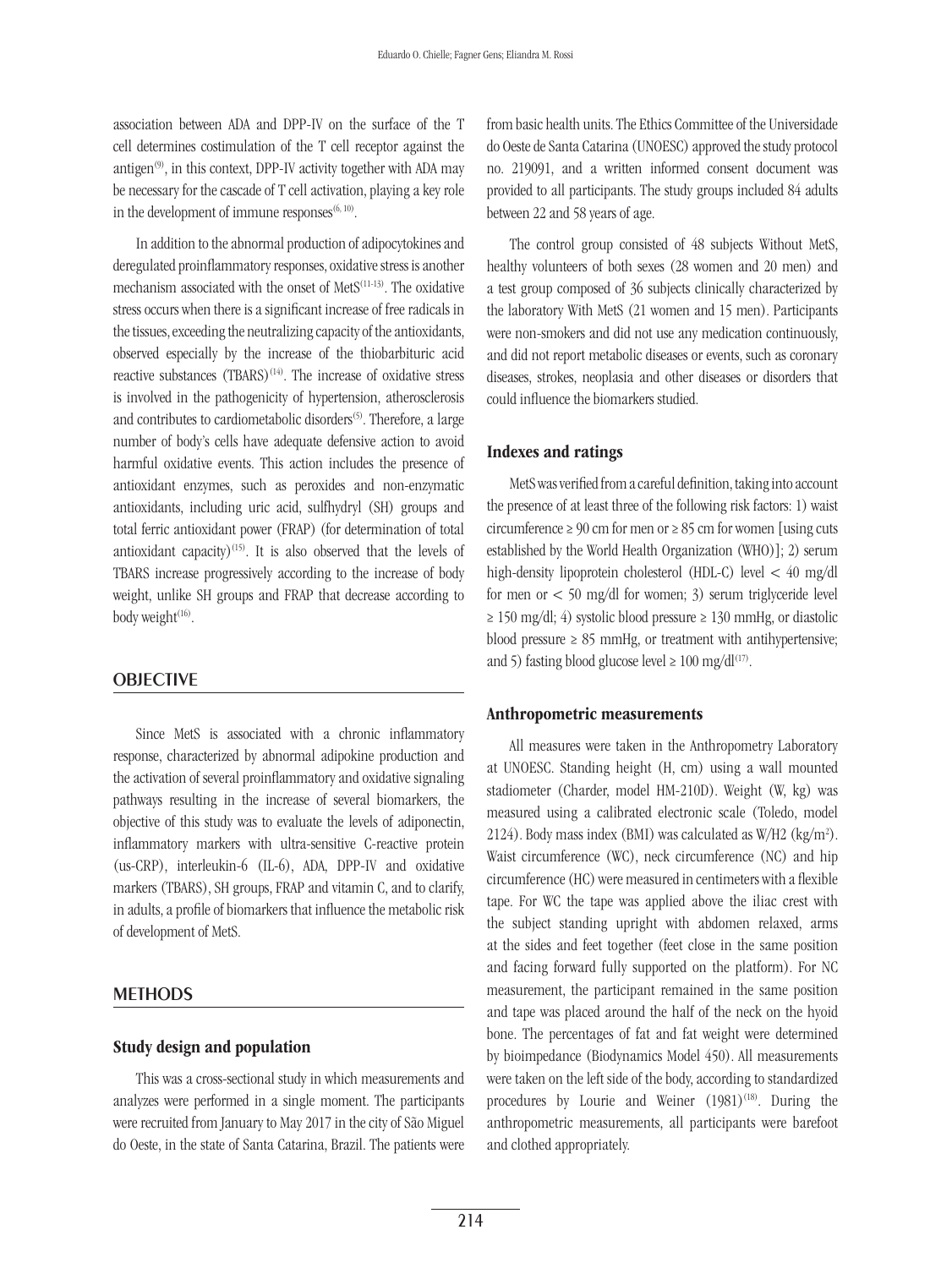association between ADA and DPP-IV on the surface of the T cell determines costimulation of the T cell receptor against the antigen $(9)$ , in this context, DPP-IV activity together with ADA may be necessary for the cascade of T cell activation, playing a key role in the development of immune responses $(6, 10)$ .

In addition to the abnormal production of adipocytokines and deregulated proinflammatory responses, oxidative stress is another mechanism associated with the onset of MetS(11-13). The oxidative stress occurs when there is a significant increase of free radicals in the tissues, exceeding the neutralizing capacity of the antioxidants, observed especially by the increase of the thiobarbituric acid reactive substances (TBARS)<sup>(14)</sup>. The increase of oxidative stress is involved in the pathogenicity of hypertension, atherosclerosis and contributes to cardiometabolic disorders<sup>(5)</sup>. Therefore, a large number of body's cells have adequate defensive action to avoid harmful oxidative events. This action includes the presence of antioxidant enzymes, such as peroxides and non-enzymatic antioxidants, including uric acid, sulfhydryl (SH) groups and total ferric antioxidant power (FRAP) (for determination of total antioxidant capacity)<sup>(15)</sup>. It is also observed that the levels of TBARS increase progressively according to the increase of body weight, unlike SH groups and FRAP that decrease according to body weight $(16)$ .

## **OBJECTIVE**

Since MetS is associated with a chronic inflammatory response, characterized by abnormal adipokine production and the activation of several proinflammatory and oxidative signaling pathways resulting in the increase of several biomarkers, the objective of this study was to evaluate the levels of adiponectin, inflammatory markers with ultra-sensitive C-reactive protein (us-CRP), interleukin-6 (IL-6), ADA, DPP-IV and oxidative markers (TBARS), SH groups, FRAP and vitamin C, and to clarify, in adults, a profile of biomarkers that influence the metabolic risk of development of MetS.

## **METHODS**

#### Study design and population

This was a cross-sectional study in which measurements and analyzes were performed in a single moment. The participants were recruited from January to May 2017 in the city of São Miguel do Oeste, in the state of Santa Catarina, Brazil. The patients were from basic health units. The Ethics Committee of the Universidade do Oeste de Santa Catarina (UNOESC) approved the study protocol no. 219091, and a written informed consent document was provided to all participants. The study groups included 84 adults between 22 and 58 years of age.

The control group consisted of 48 subjects Without MetS, healthy volunteers of both sexes (28 women and 20 men) and a test group composed of 36 subjects clinically characterized by the laboratory With MetS (21 women and 15 men). Participants were non-smokers and did not use any medication continuously, and did not report metabolic diseases or events, such as coronary diseases, strokes, neoplasia and other diseases or disorders that could influence the biomarkers studied.

# Indexes and ratings

MetS was verified from a careful definition, taking into account the presence of at least three of the following risk factors: 1) waist circumference  $\geq 90$  cm for men or  $\geq 85$  cm for women [using cuts established by the World Health Organization (WHO)]; 2) serum high-density lipoprotein cholesterol (HDL-C) level < 40 mg/dl for men or < 50 mg/dl for women; 3) serum triglyceride level  $\geq$  150 mg/dl; 4) systolic blood pressure  $\geq$  130 mmHg, or diastolic blood pressure  $\geq 85$  mmHg, or treatment with antihypertensive; and 5) fasting blood glucose level  $\geq 100$  mg/dl<sup>(17)</sup>.

### Anthropometric measurements

All measures were taken in the Anthropometry Laboratory at UNOESC. Standing height (H, cm) using a wall mounted stadiometer (Charder, model HM-210D). Weight (W, kg) was measured using a calibrated electronic scale (Toledo, model 2124). Body mass index (BMI) was calculated as W/H2 (kg/m2 ). Waist circumference (WC), neck circumference (NC) and hip circumference (HC) were measured in centimeters with a flexible tape. For WC the tape was applied above the iliac crest with the subject standing upright with abdomen relaxed, arms at the sides and feet together (feet close in the same position and facing forward fully supported on the platform). For NC measurement, the participant remained in the same position and tape was placed around the half of the neck on the hyoid bone. The percentages of fat and fat weight were determined by bioimpedance (Biodynamics Model 450). All measurements were taken on the left side of the body, according to standardized procedures by Lourie and Weiner  $(1981)^{(18)}$ . During the anthropometric measurements, all participants were barefoot and clothed appropriately.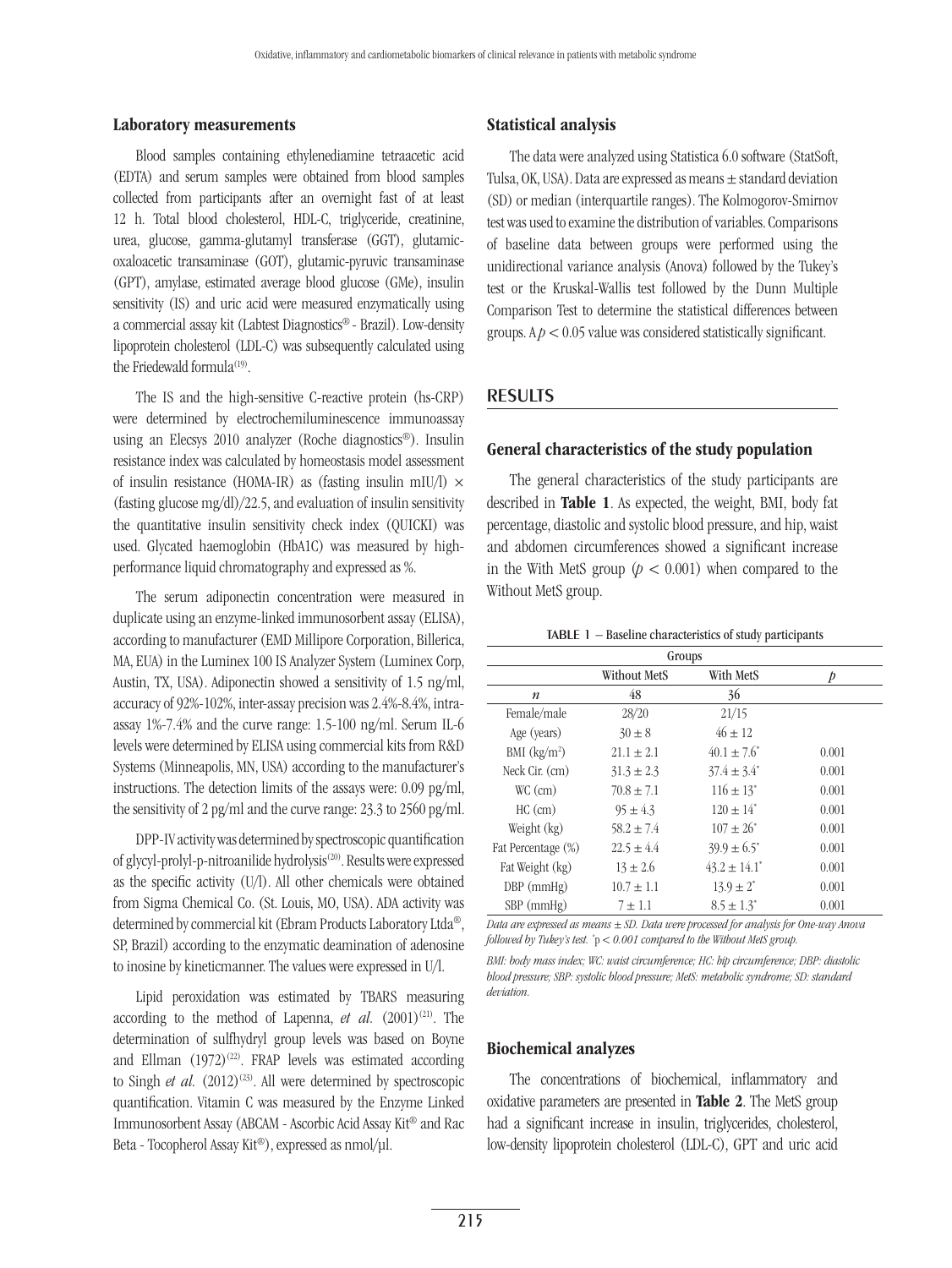#### Laboratory measurements

Blood samples containing ethylenediamine tetraacetic acid (EDTA) and serum samples were obtained from blood samples collected from participants after an overnight fast of at least 12 h. Total blood cholesterol, HDL-C, triglyceride, creatinine, urea, glucose, gamma-glutamyl transferase (GGT), glutamicoxaloacetic transaminase (GOT), glutamic-pyruvic transaminase (GPT), amylase, estimated average blood glucose (GMe), insulin sensitivity (IS) and uric acid were measured enzymatically using a commercial assay kit (Labtest Diagnostics® - Brazil). Low-density lipoprotein cholesterol (LDL-C) was subsequently calculated using the Friedewald formula<sup>(19)</sup>.

The IS and the high-sensitive C-reactive protein (hs-CRP) were determined by electrochemiluminescence immunoassay using an Elecsys 2010 analyzer (Roche diagnostics®). Insulin resistance index was calculated by homeostasis model assessment of insulin resistance (HOMA-IR) as (fasting insulin mIU/l)  $\times$ (fasting glucose mg/dl)/22.5, and evaluation of insulin sensitivity the quantitative insulin sensitivity check index (QUICKI) was used. Glycated haemoglobin (HbA1C) was measured by highperformance liquid chromatography and expressed as %.

The serum adiponectin concentration were measured in duplicate using an enzyme-linked immunosorbent assay (ELISA), according to manufacturer (EMD Millipore Corporation, Billerica, MA, EUA) in the Luminex 100 IS Analyzer System (Luminex Corp, Austin, TX, USA). Adiponectin showed a sensitivity of 1.5 ng/ml, accuracy of 92%-102%, inter-assay precision was 2.4%-8.4%, intraassay 1%-7.4% and the curve range: 1.5-100 ng/ml. Serum IL-6 levels were determined by ELISA using commercial kits from R&D Systems (Minneapolis, MN, USA) according to the manufacturer's instructions. The detection limits of the assays were: 0.09 pg/ml, the sensitivity of 2 pg/ml and the curve range: 23.3 to 2560 pg/ml.

DPP-IV activity was determined by spectroscopic quantification of glycyl-prolyl-p-nitroanilide hydrolysis<sup>(20)</sup>. Results were expressed as the specific activity (U/l). All other chemicals were obtained from Sigma Chemical Co. (St. Louis, MO, USA). ADA activity was determined by commercial kit (Ebram Products Laboratory Ltda®, SP, Brazil) according to the enzymatic deamination of adenosine to inosine by kineticmanner. The values were expressed in U/l.

Lipid peroxidation was estimated by TBARS measuring according to the method of Lapenna,  $et \ al.$  (2001)<sup>(21)</sup>. The determination of sulfhydryl group levels was based on Boyne and Ellman  $(1972)^{(22)}$ . FRAP levels was estimated according to Singh *et al.*  $(2012)^{(23)}$ . All were determined by spectroscopic quantification. Vitamin C was measured by the Enzyme Linked Immunosorbent Assay (ABCAM - Ascorbic Acid Assay Kit® and Rac Beta - Tocopherol Assay Kit®), expressed as nmol/μl.

## Statistical analysis

The data were analyzed using Statistica 6.0 software (StatSoft, Tulsa, OK, USA). Data are expressed as means ± standard deviation (SD) or median (interquartile ranges). The Kolmogorov-Smirnov test was used to examine the distribution of variables. Comparisons of baseline data between groups were performed using the unidirectional variance analysis (Anova) followed by the Tukey's test or the Kruskal-Wallis test followed by the Dunn Multiple Comparison Test to determine the statistical differences between groups.  $Ap < 0.05$  value was considered statistically significant.

# **RESULTS**

# General characteristics of the study population

The general characteristics of the study participants are described in Table 1. As expected, the weight, BMI, body fat percentage, diastolic and systolic blood pressure, and hip, waist and abdomen circumferences showed a significant increase in the With MetS group  $(p < 0.001)$  when compared to the Without MetS group.

TABLE 1 − Baseline characteristics of study participants

| Groups                     |                     |                              |       |  |
|----------------------------|---------------------|------------------------------|-------|--|
|                            | <b>Without MetS</b> | With MetS                    |       |  |
| $\boldsymbol{n}$           | 48                  | 36                           |       |  |
| Female/male                | 28/20               | 21/15                        |       |  |
| Age (years)                | $30 \pm 8$          | $46 \pm 12$                  |       |  |
| $BMI$ (kg/m <sup>2</sup> ) | $21.1 \pm 2.1$      | $40.1 \pm 7.6^*$             | 0.001 |  |
| Neck Cir. (cm)             | $31.3 \pm 2.3$      | $37.4 \pm 3.4^{\circ}$       | 0.001 |  |
| $WC$ (cm)                  | $70.8 \pm 7.1$      | $116 \pm 13$ <sup>*</sup>    | 0.001 |  |
| $HC$ (cm)                  | $95 \pm 4.3$        | $120 + 14$ <sup>*</sup>      | 0.001 |  |
| Weight (kg)                | $58.2 \pm 7.4$      | $107 \pm 26^*$               | 0.001 |  |
| Fat Percentage (%)         | $22.5 \pm 4.4$      | $39.9 \pm 6.5^*$             | 0.001 |  |
| Fat Weight (kg)            | $13 \pm 2.6$        | $43.2 \pm 14.1$ <sup>*</sup> | 0.001 |  |
| $DBP$ (mmHg)               | $10.7 \pm 1.1$      | $13.9 \pm 2^*$               | 0.001 |  |
| $SBP$ (mmHg)               | $7 \pm 1.1$         | $8.5 \pm 1.3^*$              | 0.001 |  |

*Data are expressed as means ± SD. Data were processed for analysis for One-way Anova followed by Tukey's test. \** p *< 0.001 compared to the Without MetS group.*

*BMI: body mass index; WC: waist circumference; HC: hip circumference; DBP: diastolic blood pressure; SBP: systolic blood pressure; MetS: metabolic syndrome; SD: standard deviation.*

#### Biochemical analyzes

The concentrations of biochemical, inflammatory and oxidative parameters are presented in Table 2. The MetS group had a significant increase in insulin, triglycerides, cholesterol, low-density lipoprotein cholesterol (LDL-C), GPT and uric acid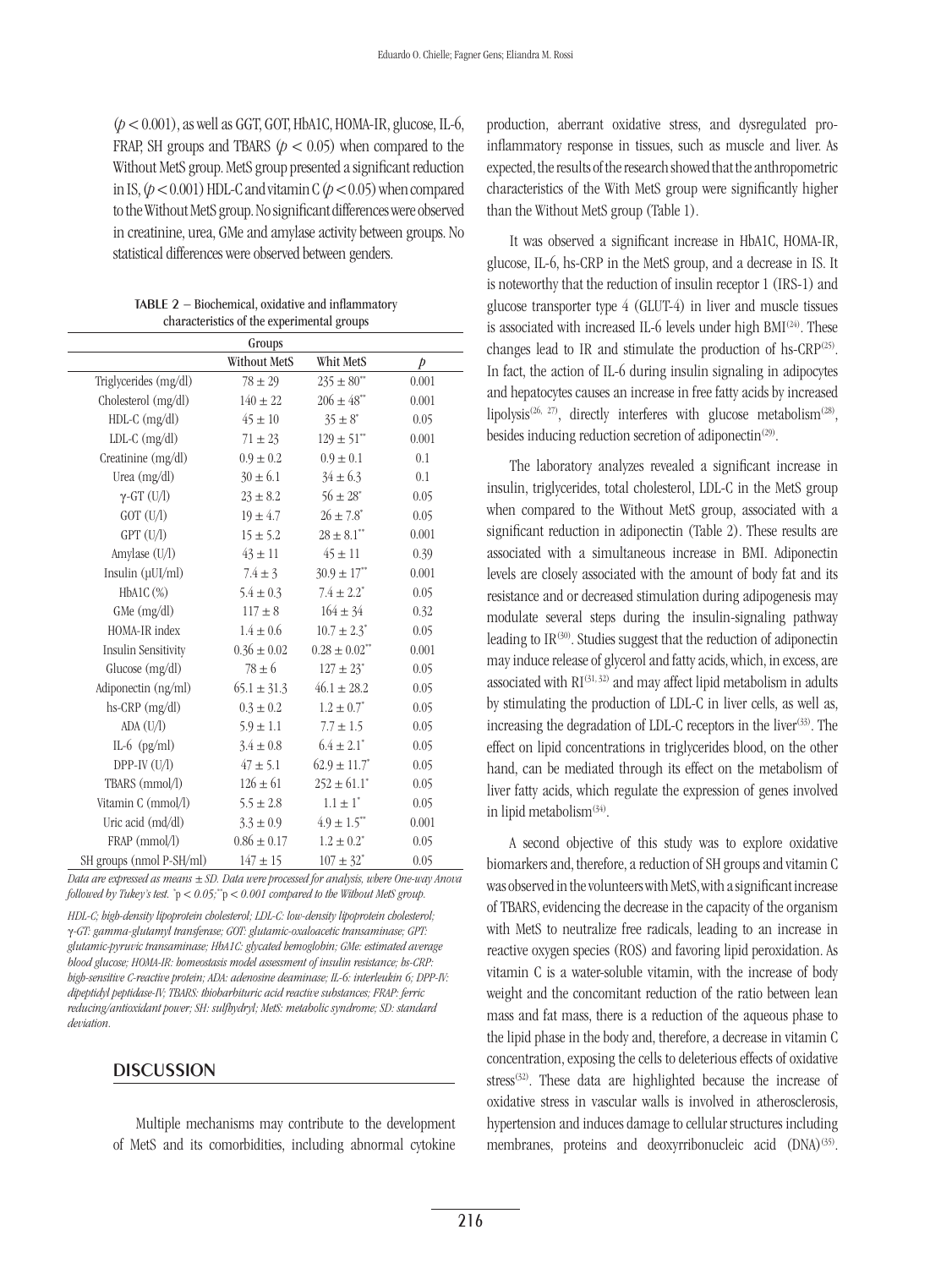(*p* < 0.001), as well as GGT, GOT, HbA1C, HOMA-IR, glucose, IL-6, FRAP, SH groups and TBARS  $(p < 0.05)$  when compared to the Without MetS group. MetS group presented a significant reduction in IS,  $(p < 0.001)$  HDL-C and vitamin C  $(p < 0.05)$  when compared to the Without MetS group. No significant differences were observed in creatinine, urea, GMe and amylase activity between groups. No statistical differences were observed between genders.

Table 2 − Biochemical, oxidative and inflammatory characteristics of the experimental groups

| Groups                     |                 |                               |               |  |
|----------------------------|-----------------|-------------------------------|---------------|--|
|                            | Without MetS    | Whit MetS                     | $\mathcal{P}$ |  |
| Triglycerides (mg/dl)      | $78 \pm 29$     | $235 \pm 80^{**}$             | 0.001         |  |
| Cholesterol (mg/dl)        | $140 \pm 22$    | $206 \pm 48$ **               | 0.001         |  |
| $HDL-C$ (mg/dl)            | $45 \pm 10$     | $35 \pm 8^*$                  | 0.05          |  |
| $LDL-C$ (mg/dl)            | $71 \pm 23$     | $129 \pm 51$ <sup>**</sup>    | 0.001         |  |
| Creatinine (mg/dl)         | $0.9 \pm 0.2$   | $0.9 \pm 0.1$                 | 0.1           |  |
| Urea $(mg/dl)$             | $30 \pm 6.1$    | $34 \pm 6.3$                  | 0.1           |  |
| $\gamma$ -GT (U/I)         | $23 \pm 8.2$    | $56 \pm 28^*$                 | 0.05          |  |
| $GOT$ $(U/I)$              | $19 \pm 4.7$    | $26 \pm 7.8$ <sup>*</sup>     | 0.05          |  |
| $GPT$ $(U/I)$              | $15 \pm 5.2$    | $28 \pm 8.1^{**}$             | 0.001         |  |
| Amylase $(U/I)$            | $43 \pm 11$     | $45 \pm 11$                   | 0.39          |  |
| Insulin $(\mu U I/ml)$     | $7.4 \pm 3$     | $30.9 \pm 17$ <sup>**</sup>   | 0.001         |  |
| HbA1C (%)                  | $5.4 \pm 0.3$   | $7.4 \pm 2.2^*$               | 0.05          |  |
| GMe (mg/dl)                | $117 \pm 8$     | $164 \pm 34$                  | 0.32          |  |
| HOMA-IR index              | $1.4 \pm 0.6$   | $10.7 \pm 2.3^*$              | 0.05          |  |
| <b>Insulin Sensitivity</b> | $0.36 \pm 0.02$ | $0.28 \pm 0.02$ <sup>**</sup> | 0.001         |  |
| Glucose (mg/dl)            | $78 \pm 6$      | $127 \pm 23$ <sup>*</sup>     | 0.05          |  |
| Adiponectin (ng/ml)        | $65.1 \pm 31.3$ | $46.1 \pm 28.2$               | 0.05          |  |
| $hs-CRP$ (mg/dl)           | $0.3 \pm 0.2$   | $1.2 \pm 0.7^*$               | 0.05          |  |
| ADA (U/l)                  | $5.9 \pm 1.1$   | $7.7 \pm 1.5$                 | 0.05          |  |
| IL-6 $(pg/ml)$             | $3.4 \pm 0.8$   | $6.4 \pm 2.1^*$               | 0.05          |  |
| $DPP-IV$ $(U/l)$           | $47 \pm 5.1$    | $62.9 \pm 11.7$ <sup>*</sup>  | 0.05          |  |
| TBARS (mmol/l)             | $126 \pm 61$    | $252 \pm 61.1^*$              | 0.05          |  |
| Vitamin C (mmol/l)         | $5.5 \pm 2.8$   | $1.1 \pm 1$ <sup>*</sup>      | 0.05          |  |
| Uric acid (md/dl)          | $3.3 \pm 0.9$   | $4.9 \pm 1.5$ **              | 0.001         |  |
| FRAP (mmol/l)              | $0.86 \pm 0.17$ | $1.2 \pm 0.2^*$               | 0.05          |  |
| SH groups (nmol P-SH/ml)   | $147 \pm 15$    | $107 \pm 32^*$                | 0.05          |  |

*Data are expressed as means ± SD. Data were processed for analysis, where One-way Anova followed by Tukey's test. \** p *< 0.05;\*\**p *< 0.001 compared to the Without MetS group.*

*HDL-C; high-density lipoprotein cholesterol; LDL-C: low-density lipoprotein cholesterol;*  γ*-GT: gamma-glutamyl transferase; GOT: glutamic-oxaloacetic transaminase; GPT: glutamic-pyruvic transaminase; HbA1C: glycated hemoglobin; GMe: estimated average blood glucose; HOMA-IR: homeostasis model assessment of insulin resistance; hs-CRP: high-sensitive C-reactive protein; ADA: adenosine deaminase; IL-6: interleukin 6; DPP-IV: dipeptidyl peptidase-IV; TBARS: thiobarbituric acid reactive substances; FRAP: ferric reducing/antioxidant power; SH: sulfhydryl; MetS: metabolic syndrome; SD: standard deviation.*

## **DISCUSSION**

Multiple mechanisms may contribute to the development of MetS and its comorbidities, including abnormal cytokine production, aberrant oxidative stress, and dysregulated proinflammatory response in tissues, such as muscle and liver. As expected, the results of the research showed that the anthropometric characteristics of the With MetS group were significantly higher than the Without MetS group (Table 1).

It was observed a significant increase in HbA1C, HOMA-IR, glucose, IL-6, hs-CRP in the MetS group, and a decrease in IS. It is noteworthy that the reduction of insulin receptor 1 (IRS-1) and glucose transporter type 4 (GLUT-4) in liver and muscle tissues is associated with increased IL-6 levels under high  $BMI^{(24)}$ . These changes lead to IR and stimulate the production of hs-CRP<sup>(25)</sup>. In fact, the action of IL-6 during insulin signaling in adipocytes and hepatocytes causes an increase in free fatty acids by increased lipolysis<sup>(26, 27)</sup>, directly interferes with glucose metabolism<sup>(28)</sup>, besides inducing reduction secretion of adiponectin<sup>(29)</sup>.

The laboratory analyzes revealed a significant increase in insulin, triglycerides, total cholesterol, LDL-C in the MetS group when compared to the Without MetS group, associated with a significant reduction in adiponectin (Table 2). These results are associated with a simultaneous increase in BMI. Adiponectin levels are closely associated with the amount of body fat and its resistance and or decreased stimulation during adipogenesis may modulate several steps during the insulin-signaling pathway leading to  $IR^{(30)}$ . Studies suggest that the reduction of adiponectin may induce release of glycerol and fatty acids, which, in excess, are associated with  $RI^{(31,32)}$  and may affect lipid metabolism in adults by stimulating the production of LDL-C in liver cells, as well as, increasing the degradation of LDL-C receptors in the liver<sup>(33)</sup>. The effect on lipid concentrations in triglycerides blood, on the other hand, can be mediated through its effect on the metabolism of liver fatty acids, which regulate the expression of genes involved in lipid metabolism<sup>(34)</sup>.

A second objective of this study was to explore oxidative biomarkers and, therefore, a reduction of SH groups and vitamin C was observed in the volunteers with MetS, with a significant increase of TBARS, evidencing the decrease in the capacity of the organism with MetS to neutralize free radicals, leading to an increase in reactive oxygen species (ROS) and favoring lipid peroxidation. As vitamin C is a water-soluble vitamin, with the increase of body weight and the concomitant reduction of the ratio between lean mass and fat mass, there is a reduction of the aqueous phase to the lipid phase in the body and, therefore, a decrease in vitamin C concentration, exposing the cells to deleterious effects of oxidative stress<sup>(32)</sup>. These data are highlighted because the increase of oxidative stress in vascular walls is involved in atherosclerosis, hypertension and induces damage to cellular structures including membranes, proteins and deoxyrribonucleic acid (DNA)<sup>(35)</sup>.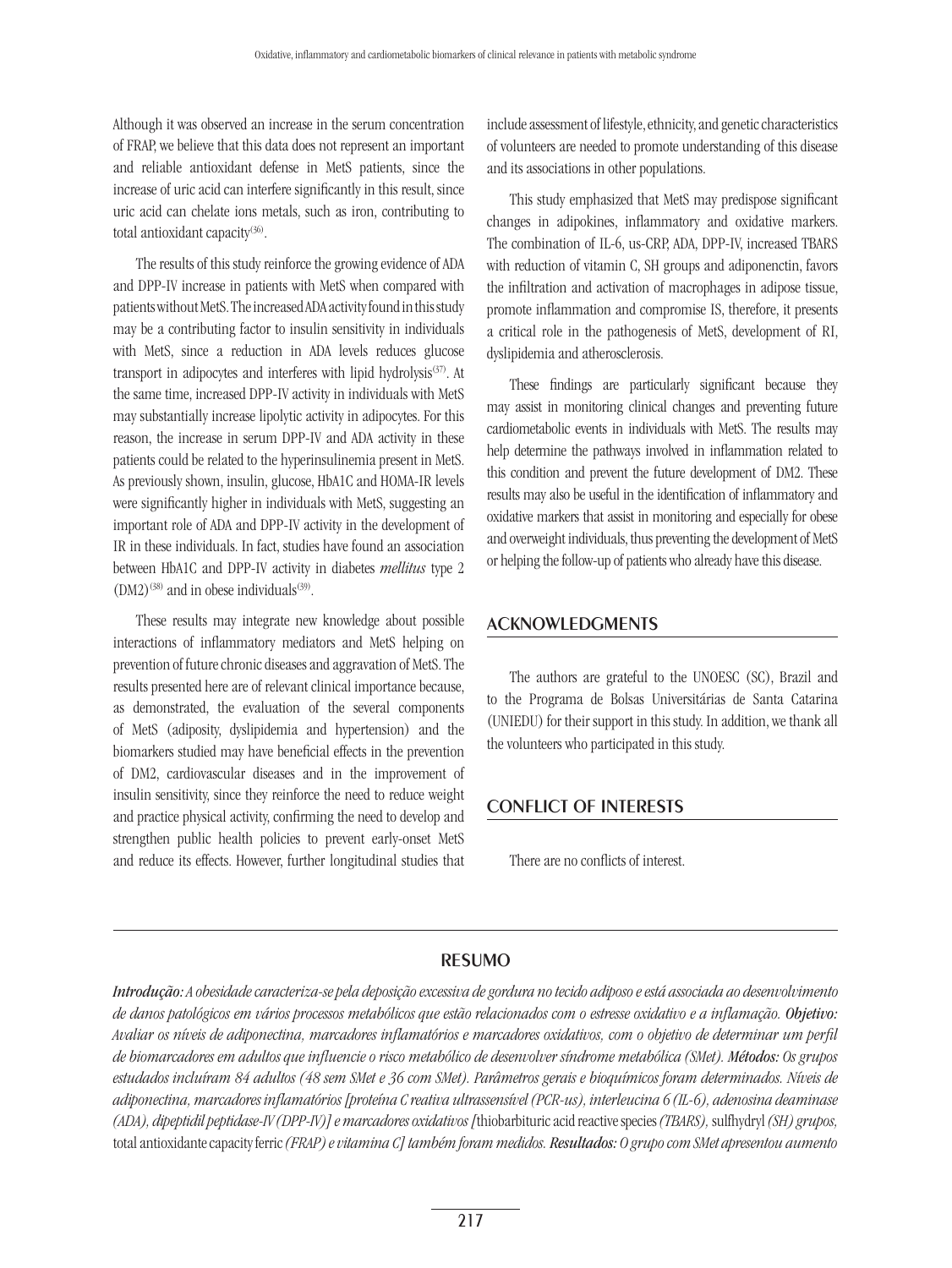Although it was observed an increase in the serum concentration of FRAP, we believe that this data does not represent an important and reliable antioxidant defense in MetS patients, since the increase of uric acid can interfere significantly in this result, since uric acid can chelate ions metals, such as iron, contributing to total antioxidant capacity<sup>(36)</sup>.

The results of this study reinforce the growing evidence of ADA and DPP-IV increase in patients with MetS when compared with patients without MetS. The increased ADA activity found in this study may be a contributing factor to insulin sensitivity in individuals with MetS, since a reduction in ADA levels reduces glucose transport in adipocytes and interferes with lipid hydrolysis<sup>(37)</sup>. At the same time, increased DPP-IV activity in individuals with MetS may substantially increase lipolytic activity in adipocytes. For this reason, the increase in serum DPP-IV and ADA activity in these patients could be related to the hyperinsulinemia present in MetS. As previously shown, insulin, glucose, HbA1C and HOMA-IR levels were significantly higher in individuals with MetS, suggesting an important role of ADA and DPP-IV activity in the development of IR in these individuals. In fact, studies have found an association between HbA1C and DPP-IV activity in diabetes *mellitus* type 2  $(DM2)^{(38)}$  and in obese individuals<sup>(39)</sup>.

These results may integrate new knowledge about possible interactions of inflammatory mediators and MetS helping on prevention of future chronic diseases and aggravation of MetS. The results presented here are of relevant clinical importance because, as demonstrated, the evaluation of the several components of MetS (adiposity, dyslipidemia and hypertension) and the biomarkers studied may have beneficial effects in the prevention of DM2, cardiovascular diseases and in the improvement of insulin sensitivity, since they reinforce the need to reduce weight and practice physical activity, confirming the need to develop and strengthen public health policies to prevent early-onset MetS and reduce its effects. However, further longitudinal studies that include assessment of lifestyle, ethnicity, and genetic characteristics of volunteers are needed to promote understanding of this disease and its associations in other populations.

This study emphasized that MetS may predispose significant changes in adipokines, inflammatory and oxidative markers. The combination of IL-6, us-CRP, ADA, DPP-IV, increased TBARS with reduction of vitamin C, SH groups and adiponenctin, favors the infiltration and activation of macrophages in adipose tissue, promote inflammation and compromise IS, therefore, it presents a critical role in the pathogenesis of MetS, development of RI, dyslipidemia and atherosclerosis.

These findings are particularly significant because they may assist in monitoring clinical changes and preventing future cardiometabolic events in individuals with MetS. The results may help determine the pathways involved in inflammation related to this condition and prevent the future development of DM2. These results may also be useful in the identification of inflammatory and oxidative markers that assist in monitoring and especially for obese and overweight individuals, thus preventing the development of MetS or helping the follow-up of patients who already have this disease.

# Acknowledgments

The authors are grateful to the UNOESC (SC), Brazil and to the Programa de Bolsas Universitárias de Santa Catarina (UNIEDU) for their support in this study. In addition, we thank all the volunteers who participated in this study.

# Conflict of interests

There are no conflicts of interest.

# resumo

*Introdução: A obesidade caracteriza-se pela deposição excessiva de gordura no tecido adiposo e está associada ao desenvolvimento de danos patológicos em vários processos metabólicos que estão relacionados com o estresse oxidativo e a inflamação. Objetivo: Avaliar os níveis de adiponectina, marcadores inflamatórios e marcadores oxidativos, com o objetivo de determinar um perfil de biomarcadores em adultos que influencie o risco metabólico de desenvolver síndrome metabólica (SMet). Métodos: Os grupos estudados incluíram 84 adultos (48 sem SMet e 36 com SMet). Parâmetros gerais e bioquímicos foram determinados. Níveis de adiponectina, marcadores inflamatórios [proteína C reativa ultrassensível (PCR-us), interleucina 6 (IL-6), adenosina deaminase (ADA), dipeptidil peptidase-IV (DPP-IV)] e marcadores oxidativos [*thiobarbituric acid reactive species *(TBARS),* sulfhydryl *(SH) grupos,*  total antioxidante capacity ferric *(FRAP) e vitamina C] também foram medidos. Resultados: O grupo com SMet apresentou aumento*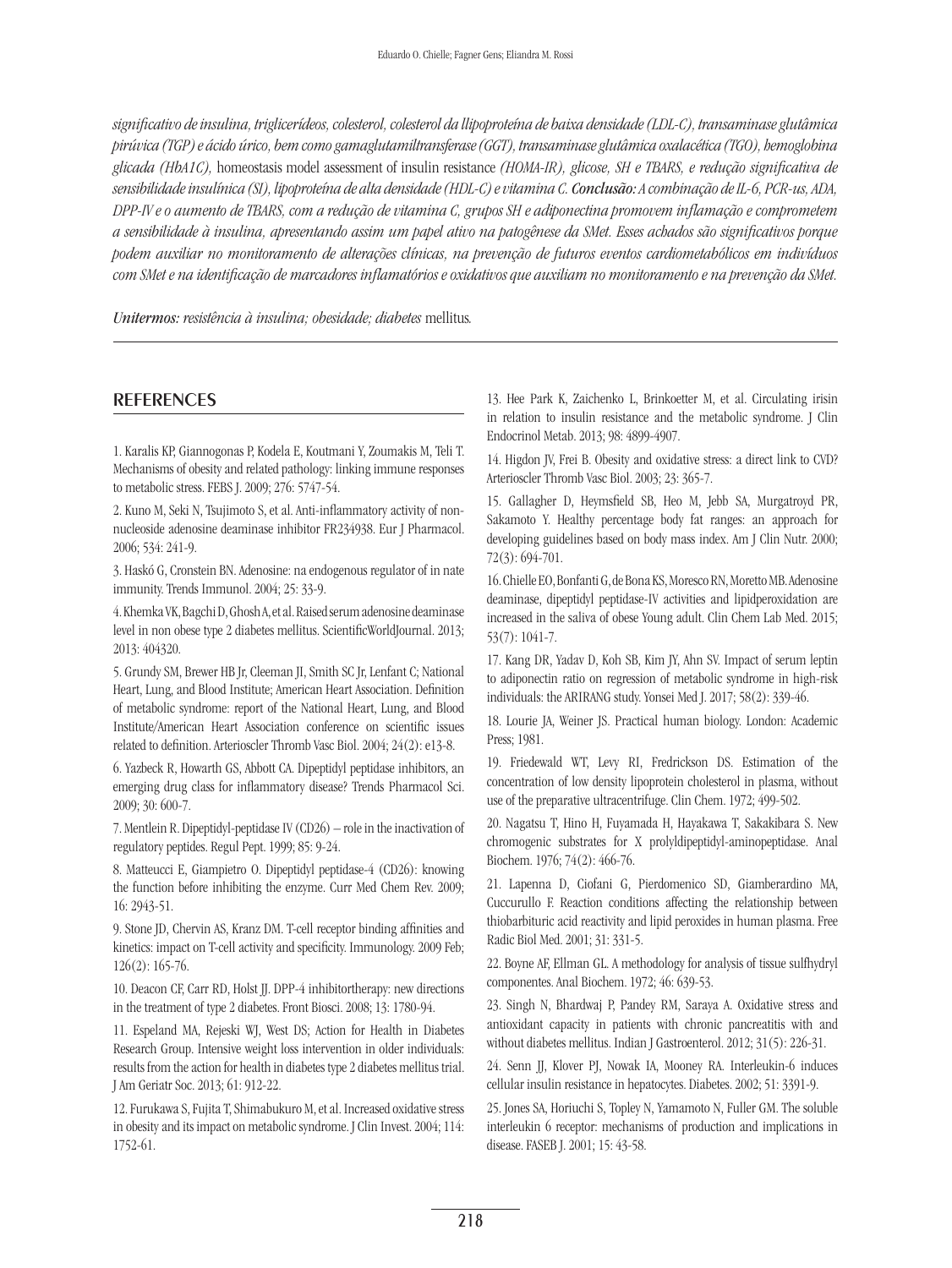*significativo de insulina, triglicerídeos, colesterol, colesterol da llipoproteína de baixa densidade (LDL-C), transaminase glutâmica pirúvica (TGP) e ácido úrico, bem como gamaglutamiltransferase (GGT), transaminase glutâmica oxalacética (TGO), hemoglobina glicada (HbA1C),* homeostasis model assessment of insulin resistance *(HOMA-IR), glicose, SH e TBARS, e redução significativa de sensibilidade insulínica (SI), lipoproteína de alta densidade (HDL-C) e vitamina C. Conclusão: A combinação de IL-6, PCR-us, ADA, DPP-IV e o aumento de TBARS, com a redução de vitamina C, grupos SH e adiponectina promovem inflamação e comprometem a sensibilidade à insulina, apresentando assim um papel ativo na patogênese da SMet. Esses achados são significativos porque podem auxiliar no monitoramento de alterações clínicas, na prevenção de futuros eventos cardiometabólicos em indivíduos com SMet e na identificação de marcadores inflamatórios e oxidativos que auxiliam no monitoramento e na prevenção da SMet.*

*Unitermos: resistência à insulina; obesidade; diabetes* mellitus*.*

# **REFERENCES**

1. Karalis KP, Giannogonas P, Kodela E, Koutmani Y, Zoumakis M, Teli T. Mechanisms of obesity and related pathology: linking immune responses to metabolic stress. FEBS J. 2009; 276: 5747-54.

2. Kuno M, Seki N, Tsujimoto S, et al. Anti-inflammatory activity of nonnucleoside adenosine deaminase inhibitor FR234938. Eur J Pharmacol. 2006; 534: 241-9.

3. Haskó G, Cronstein BN. Adenosine: na endogenous regulator of in nate immunity. Trends Immunol. 2004; 25: 33-9.

4. Khemka VK, Bagchi D, Ghosh A, et al. Raised serum adenosine deaminase level in non obese type 2 diabetes mellitus. ScientificWorldJournal. 2013; 2013: 404320.

5. Grundy SM, Brewer HB Jr, Cleeman JI, Smith SC Jr, Lenfant C; National Heart, Lung, and Blood Institute; American Heart Association. Definition of metabolic syndrome: report of the National Heart, Lung, and Blood Institute/American Heart Association conference on scientific issues related to definition. Arterioscler Thromb Vasc Biol. 2004; 24(2): e13-8.

6. Yazbeck R, Howarth GS, Abbott CA. Dipeptidyl peptidase inhibitors, an emerging drug class for inflammatory disease? Trends Pharmacol Sci. 2009; 30: 600-7.

7. Mentlein R. Dipeptidyl-peptidase IV (CD26) – role in the inactivation of regulatory peptides. Regul Pept. 1999; 85: 9-24.

8. Matteucci E, Giampietro O. Dipeptidyl peptidase-4 (CD26): knowing the function before inhibiting the enzyme. Curr Med Chem Rev. 2009; 16: 2943-51.

9. Stone JD, Chervin AS, Kranz DM. T-cell receptor binding affinities and kinetics: impact on T-cell activity and specificity. Immunology. 2009 Feb; 126(2): 165-76.

10. Deacon CF, Carr RD, Holst JJ. DPP-4 inhibitortherapy: new directions in the treatment of type 2 diabetes. Front Biosci. 2008; 13: 1780-94.

11. Espeland MA, Rejeski WJ, West DS; Action for Health in Diabetes Research Group. Intensive weight loss intervention in older individuals: results from the action for health in diabetes type 2 diabetes mellitus trial. J Am Geriatr Soc. 2013; 61: 912-22.

12. Furukawa S, Fujita T, Shimabukuro M, et al. Increased oxidative stress in obesity and its impact on metabolic syndrome. J Clin Invest. 2004; 114: 1752-61.

13. Hee Park K, Zaichenko L, Brinkoetter M, et al. Circulating irisin in relation to insulin resistance and the metabolic syndrome. J Clin Endocrinol Metab. 2013; 98: 4899-4907.

14. Higdon JV, Frei B. Obesity and oxidative stress: a direct link to CVD? Arterioscler Thromb Vasc Biol. 2003; 23: 365-7.

15. Gallagher D, Heymsfield SB, Heo M, Jebb SA, Murgatroyd PR, Sakamoto Y. Healthy percentage body fat ranges: an approach for developing guidelines based on body mass index. Am J Clin Nutr. 2000; 72(3): 694-701.

16. Chielle EO, Bonfanti G, de Bona KS, Moresco RN, Moretto MB. Adenosine deaminase, dipeptidyl peptidase-IV activities and lipidperoxidation are increased in the saliva of obese Young adult. Clin Chem Lab Med. 2015; 53(7): 1041-7.

17. Kang DR, Yadav D, Koh SB, Kim JY, Ahn SV. Impact of serum leptin to adiponectin ratio on regression of metabolic syndrome in high-risk individuals: the ARIRANG study. Yonsei Med J. 2017; 58(2): 339-46.

18. Lourie JA, Weiner JS. Practical human biology. London: Academic Press; 1981.

19. Friedewald WT, Levy RI, Fredrickson DS. Estimation of the concentration of low density lipoprotein cholesterol in plasma, without use of the preparative ultracentrifuge. Clin Chem. 1972; 499-502.

20. Nagatsu T, Hino H, Fuyamada H, Hayakawa T, Sakakibara S. New chromogenic substrates for X prolyldipeptidyl-aminopeptidase. Anal Biochem. 1976; 74(2): 466-76.

21. Lapenna D, Ciofani G, Pierdomenico SD, Giamberardino MA, Cuccurullo F. Reaction conditions affecting the relationship between thiobarbituric acid reactivity and lipid peroxides in human plasma. Free Radic Biol Med. 2001; 31: 331-5.

22. Boyne AF, Ellman GL. A methodology for analysis of tissue sulfhydryl componentes. Anal Biochem. 1972; 46: 639-53.

23. Singh N, Bhardwaj P, Pandey RM, Saraya A. Oxidative stress and antioxidant capacity in patients with chronic pancreatitis with and without diabetes mellitus. Indian J Gastroenterol. 2012; 31(5): 226-31.

24. Senn JJ, Klover PJ, Nowak IA, Mooney RA. Interleukin-6 induces cellular insulin resistance in hepatocytes. Diabetes. 2002; 51: 3391-9.

25. Jones SA, Horiuchi S, Topley N, Yamamoto N, Fuller GM. The soluble interleukin 6 receptor: mechanisms of production and implications in disease. FASEB J. 2001; 15: 43-58.